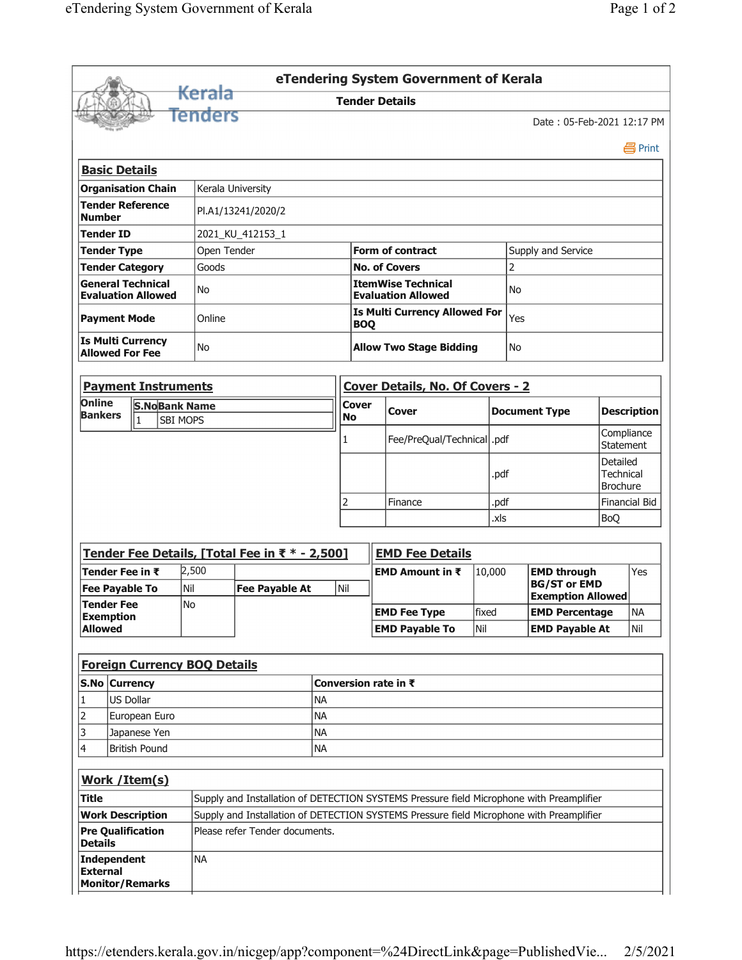|                                                       |                                                         |                           |     |                                     |                                                                                          |           |           |                                      | eTendering System Government of Kerala                              |  |                                                 |                            |                                          |                         |  |  |  |
|-------------------------------------------------------|---------------------------------------------------------|---------------------------|-----|-------------------------------------|------------------------------------------------------------------------------------------|-----------|-----------|--------------------------------------|---------------------------------------------------------------------|--|-------------------------------------------------|----------------------------|------------------------------------------|-------------------------|--|--|--|
|                                                       |                                                         |                           |     | <del>Kerala</del>                   |                                                                                          |           |           |                                      | <b>Tender Details</b>                                               |  |                                                 |                            |                                          |                         |  |  |  |
|                                                       |                                                         |                           |     | Tenders                             |                                                                                          |           |           |                                      |                                                                     |  |                                                 | Date: 05-Feb-2021 12:17 PM |                                          |                         |  |  |  |
|                                                       |                                                         |                           |     |                                     |                                                                                          |           |           |                                      |                                                                     |  |                                                 |                            |                                          | 昌 Print                 |  |  |  |
|                                                       |                                                         | <b>Basic Details</b>      |     |                                     |                                                                                          |           |           |                                      |                                                                     |  |                                                 |                            |                                          |                         |  |  |  |
|                                                       |                                                         | <b>Organisation Chain</b> |     | Kerala University                   |                                                                                          |           |           |                                      |                                                                     |  |                                                 |                            |                                          |                         |  |  |  |
| <b>Number</b>                                         |                                                         | <b>Tender Reference</b>   |     |                                     | PI.A1/13241/2020/2                                                                       |           |           |                                      |                                                                     |  |                                                 |                            |                                          |                         |  |  |  |
|                                                       | <b>Tender ID</b>                                        |                           |     |                                     | 2021_KU_412153_1                                                                         |           |           |                                      |                                                                     |  |                                                 |                            |                                          |                         |  |  |  |
|                                                       | <b>Tender Type</b>                                      |                           |     |                                     | Open Tender                                                                              |           |           |                                      | <b>Form of contract</b>                                             |  | Supply and Service                              |                            |                                          |                         |  |  |  |
|                                                       |                                                         | <b>Tender Category</b>    |     | Goods                               |                                                                                          |           |           |                                      | <b>No. of Covers</b>                                                |  | $\overline{2}$                                  |                            |                                          |                         |  |  |  |
| <b>General Technical</b><br><b>Evaluation Allowed</b> |                                                         |                           |     | No                                  |                                                                                          |           |           |                                      | <b>ItemWise Technical</b><br><b>No</b><br><b>Evaluation Allowed</b> |  |                                                 |                            |                                          |                         |  |  |  |
| <b>Payment Mode</b>                                   |                                                         |                           |     | Online                              |                                                                                          |           |           | <b>BOQ</b>                           | <b>Is Multi Currency Allowed For</b>                                |  |                                                 |                            |                                          |                         |  |  |  |
| <b>Is Multi Currency</b><br><b>Allowed For Fee</b>    |                                                         |                           |     | No                                  |                                                                                          |           |           | <b>Allow Two Stage Bidding</b><br>No |                                                                     |  |                                                 |                            |                                          |                         |  |  |  |
|                                                       |                                                         |                           |     | <b>Payment Instruments</b>          |                                                                                          |           |           |                                      | <b>Cover Details, No. Of Covers - 2</b>                             |  |                                                 |                            |                                          |                         |  |  |  |
| Online<br><b>S.NoBank Name</b>                        |                                                         |                           |     |                                     |                                                                                          |           |           | <b>Cover</b>                         |                                                                     |  |                                                 |                            |                                          |                         |  |  |  |
|                                                       | <b>Bankers</b><br>1                                     |                           |     | <b>SBI MOPS</b>                     |                                                                                          |           |           |                                      | Cover                                                               |  |                                                 | <b>Document Type</b>       |                                          | <b>Description</b>      |  |  |  |
|                                                       |                                                         |                           |     |                                     |                                                                                          |           |           |                                      | Fee/PreQual/Technical  .pdf                                         |  |                                                 |                            |                                          | Compliance<br>Statement |  |  |  |
|                                                       |                                                         |                           |     |                                     |                                                                                          |           |           |                                      |                                                                     |  | .pdf                                            |                            | Detailed<br><b>Technical</b><br>Brochure |                         |  |  |  |
|                                                       |                                                         |                           |     |                                     |                                                                                          |           |           |                                      | Finance                                                             |  | .pdf                                            |                            |                                          | Financial Bid           |  |  |  |
|                                                       |                                                         |                           |     |                                     |                                                                                          |           |           |                                      |                                                                     |  | .xls                                            |                            | <b>BoQ</b>                               |                         |  |  |  |
|                                                       |                                                         |                           |     |                                     |                                                                                          |           |           |                                      |                                                                     |  |                                                 |                            |                                          |                         |  |  |  |
|                                                       |                                                         |                           |     |                                     | Tender Fee Details, [Total Fee in ₹ * - 2,500]                                           |           |           |                                      | <b>EMD Fee Details</b>                                              |  |                                                 |                            |                                          |                         |  |  |  |
|                                                       | Tender Fee in $\bar{\tau}$                              |                           |     | 2,500                               |                                                                                          |           |           |                                      | EMD Amount in ₹                                                     |  | 10,000                                          | <b>EMD through</b>         |                                          | Yes                     |  |  |  |
|                                                       | <b>Fee Payable To</b>                                   |                           | Nil | <b>Fee Payable At</b>               |                                                                                          | Nil       |           |                                      |                                                                     |  | <b>BG/ST or EMD</b><br><b>Exemption Allowed</b> |                            |                                          |                         |  |  |  |
|                                                       | <b>Tender Fee</b><br><b>Exemption</b><br><b>Allowed</b> |                           |     | No                                  |                                                                                          |           |           |                                      | <b>EMD Fee Type</b>                                                 |  | fixed                                           | <b>EMD Percentage</b>      |                                          | <b>NA</b>               |  |  |  |
|                                                       |                                                         |                           |     |                                     |                                                                                          |           |           |                                      | <b>EMD Payable To</b>                                               |  |                                                 | <b>EMD Payable At</b>      |                                          | Nil                     |  |  |  |
|                                                       |                                                         |                           |     |                                     |                                                                                          |           |           |                                      |                                                                     |  |                                                 |                            |                                          |                         |  |  |  |
|                                                       |                                                         |                           |     | <b>Foreign Currency BOQ Details</b> |                                                                                          |           |           |                                      |                                                                     |  |                                                 |                            |                                          |                         |  |  |  |
|                                                       |                                                         | S.No Currency             |     |                                     |                                                                                          |           |           |                                      | Conversion rate in ₹                                                |  |                                                 |                            |                                          |                         |  |  |  |
| 1                                                     |                                                         | US Dollar                 |     |                                     |                                                                                          |           |           | <b>NA</b>                            |                                                                     |  |                                                 |                            |                                          |                         |  |  |  |
| 2                                                     |                                                         | European Euro             |     |                                     |                                                                                          |           | <b>NA</b> |                                      |                                                                     |  |                                                 |                            |                                          |                         |  |  |  |
| 3                                                     |                                                         | Japanese Yen              |     |                                     |                                                                                          | <b>NA</b> |           |                                      |                                                                     |  |                                                 |                            |                                          |                         |  |  |  |
| 4                                                     | British Pound                                           |                           |     |                                     | <b>NA</b>                                                                                |           |           |                                      |                                                                     |  |                                                 |                            |                                          |                         |  |  |  |
|                                                       |                                                         | Work / Item(s)            |     |                                     |                                                                                          |           |           |                                      |                                                                     |  |                                                 |                            |                                          |                         |  |  |  |
|                                                       | Title                                                   |                           |     |                                     | Supply and Installation of DETECTION SYSTEMS Pressure field Microphone with Preamplifier |           |           |                                      |                                                                     |  |                                                 |                            |                                          |                         |  |  |  |
|                                                       | <b>Work Description</b>                                 |                           |     |                                     | Supply and Installation of DETECTION SYSTEMS Pressure field Microphone with Preamplifier |           |           |                                      |                                                                     |  |                                                 |                            |                                          |                         |  |  |  |
| <b>Details</b>                                        |                                                         | <b>Pre Qualification</b>  |     |                                     | Please refer Tender documents.                                                           |           |           |                                      |                                                                     |  |                                                 |                            |                                          |                         |  |  |  |
| <b>External</b>                                       | <b>Independent</b>                                      |                           |     | <b>NA</b>                           |                                                                                          |           |           |                                      |                                                                     |  |                                                 |                            |                                          |                         |  |  |  |
|                                                       |                                                         | <b>Monitor/Remarks</b>    |     |                                     |                                                                                          |           |           |                                      |                                                                     |  |                                                 |                            |                                          |                         |  |  |  |